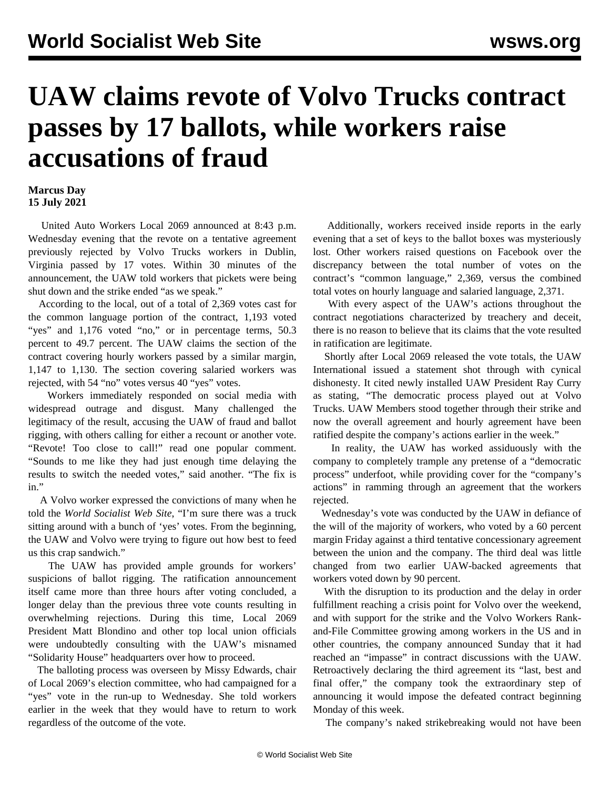## **UAW claims revote of Volvo Trucks contract passes by 17 ballots, while workers raise accusations of fraud**

## **Marcus Day 15 July 2021**

 United Auto Workers Local 2069 announced at 8:43 p.m. Wednesday evening that the revote on a tentative agreement previously rejected by Volvo Trucks workers in Dublin, Virginia passed by 17 votes. Within 30 minutes of the announcement, the UAW told workers that pickets were being shut down and the strike ended "as we speak."

 According to the local, out of a total of 2,369 votes cast for the common language portion of the contract, 1,193 voted "yes" and 1,176 voted "no," or in percentage terms, 50.3 percent to 49.7 percent. The UAW claims the section of the contract covering hourly workers passed by a similar margin, 1,147 to 1,130. The section covering salaried workers was rejected, with 54 "no" votes versus 40 "yes" votes.

 Workers immediately responded on social media with widespread outrage and disgust. Many challenged the legitimacy of the result, accusing the UAW of fraud and ballot rigging, with others calling for either a recount or another vote. "Revote! Too close to call!" read one popular comment. "Sounds to me like they had just enough time delaying the results to switch the needed votes," said another. "The fix is in."

 A Volvo worker expressed the convictions of many when he told the *World Socialist Web Site*, "I'm sure there was a truck sitting around with a bunch of 'yes' votes. From the beginning, the UAW and Volvo were trying to figure out how best to feed us this crap sandwich."

 The UAW has provided ample grounds for workers' suspicions of ballot rigging. The ratification announcement itself came more than three hours after voting concluded, a longer delay than the previous three vote counts resulting in overwhelming rejections. During this time, Local 2069 President Matt Blondino and other top local union officials were undoubtedly consulting with the UAW's misnamed "Solidarity House" headquarters over how to proceed.

 The balloting process was overseen by Missy Edwards, chair of Local 2069's election committee, who had campaigned for a "yes" vote in the run-up to Wednesday. She told workers earlier in the week that they would have to return to work regardless of the outcome of the vote.

 Additionally, workers received inside reports in the early evening that a set of keys to the ballot boxes was mysteriously lost. Other workers raised questions on Facebook over the discrepancy between the total number of votes on the contract's "common language," 2,369, versus the combined total votes on hourly language and salaried language, 2,371.

 With every aspect of the UAW's actions throughout the contract negotiations characterized by treachery and deceit, there is no reason to believe that its claims that the vote resulted in ratification are legitimate.

 Shortly after Local 2069 released the vote totals, the UAW International issued a statement shot through with cynical dishonesty. It cited newly installed UAW President Ray Curry as stating, "The democratic process played out at Volvo Trucks. UAW Members stood together through their strike and now the overall agreement and hourly agreement have been ratified despite the company's actions earlier in the week."

 In reality, the UAW has worked assiduously with the company to completely trample any pretense of a "democratic process" underfoot, while providing cover for the "company's actions" in ramming through an agreement that the workers rejected.

 Wednesday's vote was conducted by the UAW in defiance of the will of the majority of workers, who voted by a 60 percent margin Friday against a third tentative concessionary agreement between the union and the company. The third deal was little changed from two earlier UAW-backed agreements that workers voted down by 90 percent.

 With the disruption to its production and the delay in order fulfillment reaching a crisis point for Volvo over the weekend, and with support for the strike and the Volvo Workers Rankand-File Committee growing among workers in the US and in other countries, the company announced Sunday that it had reached an "impasse" in contract discussions with the UAW. Retroactively declaring the third agreement its "last, best and final offer," the company took the extraordinary step of announcing it would impose the defeated contract beginning Monday of this week.

The company's naked strikebreaking would not have been